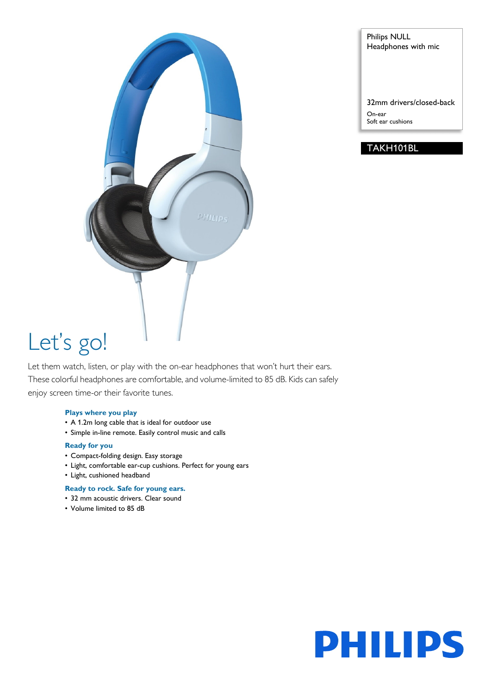

Philips NULL Headphones with mic

32mm drivers/closed-back On-ear Soft ear cushions

# TAKH101BL

# Let's go!

Let them watch, listen, or play with the on-ear headphones that won't hurt their ears. These colorful headphones are comfortable, and volume-limited to 85 dB. Kids can safely enjoy screen time-or their favorite tunes.

# **Plays where you play**

- A 1.2m long cable that is ideal for outdoor use
- Simple in-line remote. Easily control music and calls

# **Ready for you**

- Compact-folding design. Easy storage
- Light, comfortable ear-cup cushions. Perfect for young ears
- Light, cushioned headband

# **Ready to rock. Safe for young ears.**

- 32 mm acoustic drivers. Clear sound
- Volume limited to 85 dB